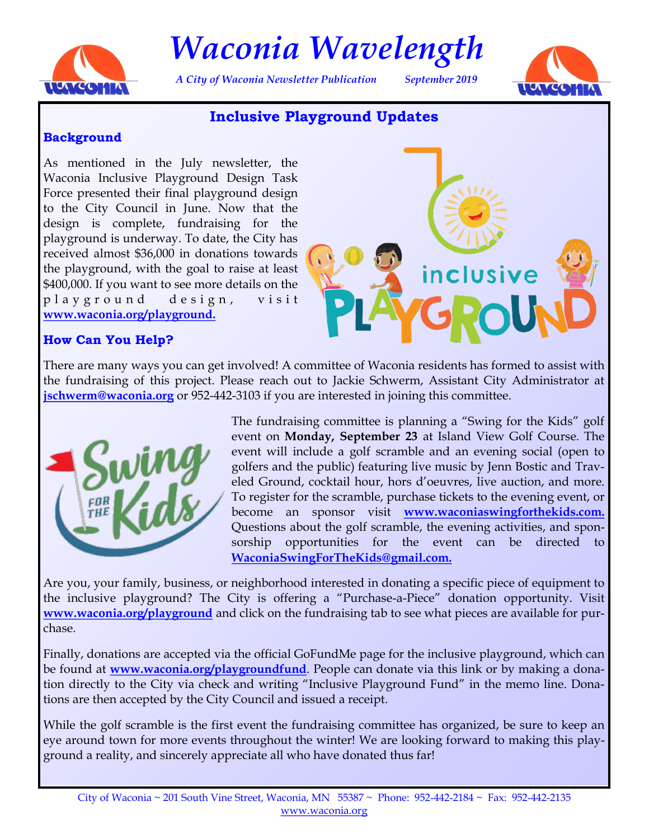

*Waconia Wavelength*

*A City of Waconia Newsletter Publication September 2019*



# **Inclusive Playground Updates**

#### **Background**

As mentioned in the July newsletter, the Waconia Inclusive Playground Design Task Force presented their final playground design to the City Council in June. Now that the design is complete, fundraising for the playground is underway. To date, the City has received almost \$36,000 in donations towards the playground, with the goal to raise at least \$400,000. If you want to see more details on the p l a y g r o u n d d e s i g n , v i s i t **[www.waconia.org/playground.](www.waconia.org/playground)**



## **How Can You Help?**

There are many ways you can get involved! A committee of Waconia residents has formed to assist with the fundraising of this project. Please reach out to Jackie Schwerm, Assistant City Administrator at **[jschwerm@waconia.org](mailto: jschwerm@waconia.org)** or 952-442-3103 if you are interested in joining this committee.



The fundraising committee is planning a "Swing for the Kids" golf event on **Monday, September 23** at Island View Golf Course. The event will include a golf scramble and an evening social (open to golfers and the public) featuring live music by Jenn Bostic and Traveled Ground, cocktail hour, hors d'oeuvres, live auction, and more. To register for the scramble, purchase tickets to the evening event, or become an sponsor visit **[www.waconiaswingforthekids.com.](https://www.waconiaswingforthekids.com/)** Questions about the golf scramble, the evening activities, and sponsorship opportunities for the event can be directed to **[WaconiaSwingForTheKids@gmail.com.](mailto: WaconiaSwingForTheKids@gmail.com)**

Are you, your family, business, or neighborhood interested in donating a specific piece of equipment to the inclusive playground? The City is offering a "Purchase-a-Piece" donation opportunity. Visit **<www.waconia.org/playground>** and click on the fundraising tab to see what pieces are available for purchase.

Finally, donations are accepted via the official GoFundMe page for the inclusive playground, which can be found at **<www.waconia.org/playgroundfund>**. People can donate via this link or by making a donation directly to the City via check and writing "Inclusive Playground Fund" in the memo line. Donations are then accepted by the City Council and issued a receipt.

While the golf scramble is the first event the fundraising committee has organized, be sure to keep an eye around town for more events throughout the winter! We are looking forward to making this playground a reality, and sincerely appreciate all who have donated thus far!